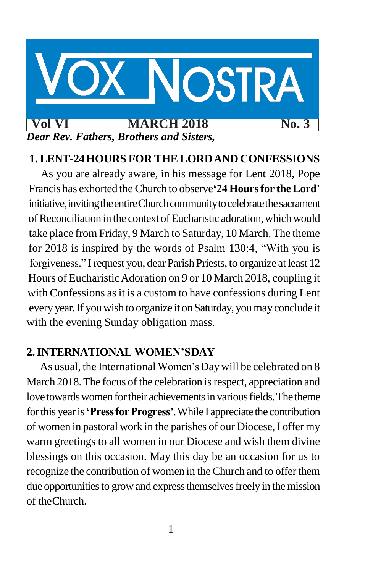

# **1. LENT-24HOURS FOR THE LORDAND CONFESSIONS**

As you are already aware, in his message for Lent 2018, Pope Francis has exhorted the Church to observe**'24Hoursfor theLord**' initiative, inviting the entire Church community to celebrate the sacrament ofReconciliationin the contextofEucharistic adoration,whichwould take place from Friday, 9 March to Saturday, 10 March.The theme for 2018 is inspired by the words of Psalm 130:4, "With you is forgiveness." I request you, dear Parish Priests, to organize at least 12 Hours of EucharisticAdoration on 9 or 10 March 2018, coupling it with Confessions as it is a custom to have confessions during Lent everyyear.If youwish to organize it onSaturday, youmayconclude it with the evening Sunday obligation mass.

### **2.INTERNATIONAL WOMEN'SDAY**

As usual, the International Women's Day will be celebrated on 8 March 2018. The focus of the celebration is respect, appreciation and love towards women for their achievements in various fields. The theme forthis yearis**'PressforProgress'**.While I appreciate the contribution of women in pastoral work in the parishes of our Diocese, I offer my warm greetings to all women in our Diocese and wish them divine blessings on this occasion. May this day be an occasion for us to recognize the contribution of women in the Church and to offerthem due opportunities to grow and express themselves freely in the mission of theChurch.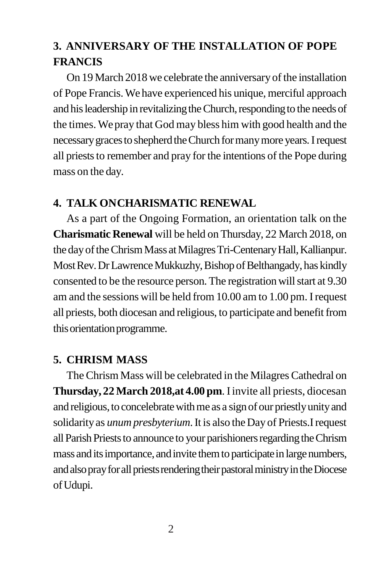# **3. ANNIVERSARY OF THE INSTALLATION OF POPE FRANCIS**

On 19 March 2018 we celebrate the anniversary of the installation of Pope Francis.We have experienced his unique, merciful approach and his leadership in revitalizing the Church, responding to the needs of the times. Wepray that God may bless him with good health and the necessary graces to shepherd the Church for many more years. I request all priests to remember and pray for the intentions of the Pope during mass on the day.

### **4. TALK ONCHARISMATIC RENEWAL**

As a part of the Ongoing Formation, an orientation talk on the **Charismatic Renewal** will be held on Thursday, 22 March 2018, on the day of the Chrism Mass at Milagres Tri-Centenary Hall, Kallianpur. Most Rev. Dr Lawrence Mukkuzhy, Bishop of Belthangady, has kindly consented to be the resource person. The registration will start at 9.30 am and the sessions will be held from 10.00 am to 1.00 pm. Irequest all priests, both diocesan and religious, to participate and benefit from this orientation programme.

# **5. CHRISM MASS**

The Chrism Mass will be celebrated in the Milagres Cathedral on **Thursday, 22 March 2018,at 4.00 pm**. Iinvite all priests, diocesan and religious, to concelebrate with me as a sign of our priestly unity and solidarityas *unum presbyterium*.It is also the Day of Priests.Irequest all Parish Priests to announce to your parishioners regarding the Chrism mass and its importance, and invite them to participate in large numbers, and also pray for all priests rendering their pastoral ministry in the Diocese ofUdupi.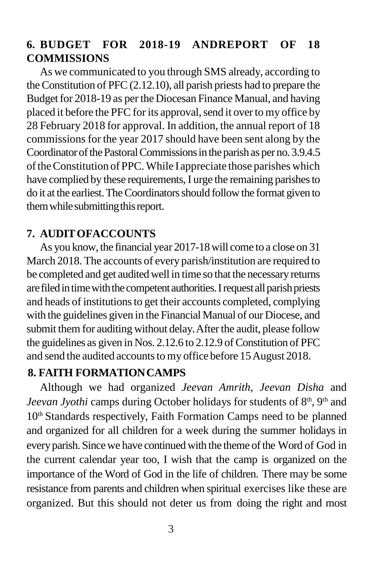# **6. BUDGET FOR 2018-19 ANDREPORT OF 18 COMMISSIONS**

As we communicated to you through SMS already, according to theConstitution of PFC(2.12.10), all parish priests had to prepare the Budget for 2018-19 as per the Diocesan Finance Manual, and having placed it before the PFC for its approval, send it over to my office by 28 February 2018 for approval. In addition, the annual report of 18 commissions for the year 2017 should have been sent along by the Coordinator of the Pastoral Commissions in the parish as per no. 3.9.4.5 of the Constitution of PPC. While I appreciate those parishes which have complied by these requirements, I urge the remaining parishes to do it at the earliest. The Coordinators should follow the format given to them while submitting this report.

# **7. AUDITOFACCOUNTS**

As you know, the financial year 2017-18will come to a close on 31 March 2018. The accounts of every parish/institution are required to be completed and get auditedwell in time so that the necessary returns are filed in time with the competent authorities. I request all parish priests and heads of institutions to get their accounts completed, complying with the guidelines given in the Financial Manual of our Diocese, and submit them for auditing without delay. After the audit, please follow the guidelines as given in Nos. 2.12.6 to 2.12.9 of Constitution of PFC and send the audited accounts to my office before 15 August 2018.

# **8. FAITH FORMATIONCAMPS**

Although we had organized *Jeevan Amrith, Jeevan Disha* and Jeevan Jyothi camps during October holidays for students of  $8<sup>th</sup>$ , 9<sup>th</sup> and 10<sup>th</sup> Standards respectively, Faith Formation Camps need to be planned and organized for all children for a week during the summer holidays in every parish. Since we have continued with the theme of the Word of God in the current calendar year too, I wish that the camp is organized on the importance of the Word of God in the life of children. There may be some resistance from parents and children when spiritual exercises like these are organized. But this should not deter us from doing the right and most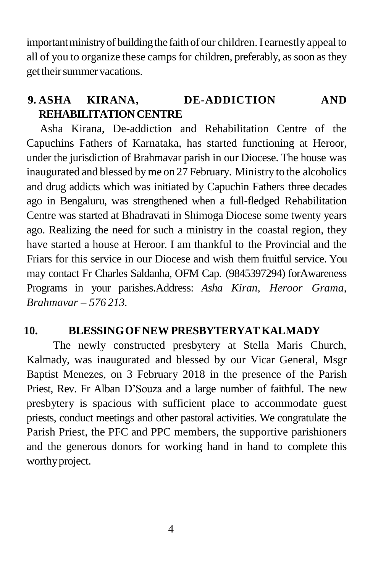important ministry of building the faith of our children. I earnestly appeal to all of you to organize these camps for children, preferably, as soon as they get their summer vacations.

# **9. ASHA KIRANA, DE-ADDICTION AND REHABILITATIONCENTRE**

Asha Kirana, De-addiction and Rehabilitation Centre of the Capuchins Fathers of Karnataka, has started functioning at Heroor, under the jurisdiction of Brahmavar parish in our Diocese. The house was inaugurated and blessed byme on 27 February. Ministry to the alcoholics and drug addicts which was initiated by Capuchin Fathers three decades ago in Bengaluru, was strengthened when a full-fledged Rehabilitation Centre was started at Bhadravati in Shimoga Diocese some twenty years ago. Realizing the need for such a ministry in the coastal region, they have started a house at Heroor. I am thankful to the Provincial and the Friars for this service in our Diocese and wish them fruitful service. You may contact Fr Charles Saldanha, OFM Cap. (9845397294) forAwareness Programs in your parishes.Address: *Asha Kiran, Heroor Grama, Brahmavar – 576 213.*

# **10. BLESSINGOFNEWPRESBYTERYATKALMADY**

The newly constructed presbytery at Stella Maris Church, Kalmady, was inaugurated and blessed by our Vicar General, Msgr Baptist Menezes, on 3 February 2018 in the presence of the Parish Priest, Rev. Fr Alban D'Souza and a large number of faithful. The new presbytery is spacious with sufficient place to accommodate guest priests, conduct meetings and other pastoral activities. We congratulate the Parish Priest, the PFC and PPC members, the supportive parishioners and the generous donors for working hand in hand to complete this worthy project.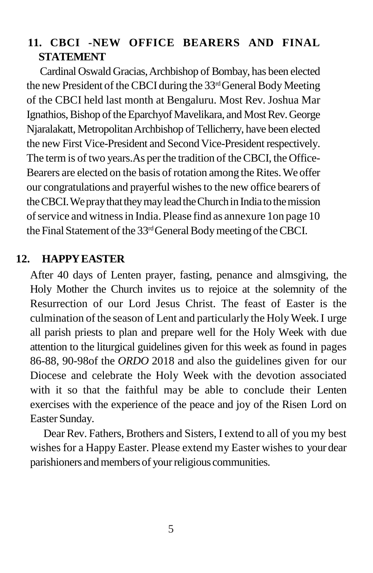# **11. CBCI -NEW OFFICE BEARERS AND FINAL STATEMENT**

Cardinal Oswald Gracias,Archbishop of Bombay, has been elected the new President of the CBCI during the  $33<sup>rd</sup>$ General Body Meeting of the CBCI held last month at Bengaluru. Most Rev. Joshua Mar Ignathios, Bishop of the Eparchyof Mavelikara, and Most Rev. George Njaralakatt, Metropolitan Archbishop of Tellicherry, have been elected the new First Vice-President and Second Vice-President respectively. The term is of two years. As per the tradition of the CBCI, the Office-Bearers are elected on the basis of rotation among the Rites. We offer our congratulations and prayerful wishesto the new office bearers of theCBCI.WepraythattheymayleadtheChurchin Indiatothemission of service and witness in India. Please find as annexure 1on page 10 the Final Statement of the 33<sup>rd</sup>General Body meeting of the CBCI.

### **12. HAPPYEASTER**

After 40 days of Lenten prayer, fasting, penance and almsgiving, the Holy Mother the Church invites us to rejoice at the solemnity of the Resurrection of our Lord Jesus Christ. The feast of Easter is the culmination of the season of Lent and particularly the HolyWeek.I urge all parish priests to plan and prepare well for the Holy Week with due attention to the liturgical guidelines given for this week as found in pages 86-88, 90-98of the *ORDO* 2018 and also the guidelines given for our Diocese and celebrate the Holy Week with the devotion associated with it so that the faithful may be able to conclude their Lenten exercises with the experience of the peace and joy of the Risen Lord on Easter Sunday.

Dear Rev. Fathers, Brothers and Sisters, I extend to all of you my best wishes for a Happy Easter. Please extend my Easter wishes to your dear parishioners and members of your religious communities.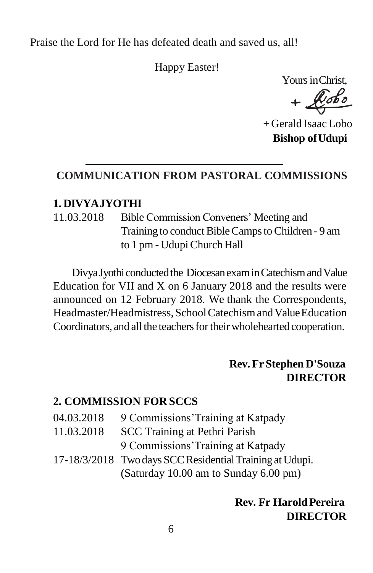Praise the Lord for He has defeated death and saved us, all!

Happy Easter!

Yours inChrist,

 $+$ 

+ Gerald Isaac Lobo **Bishop ofUdupi**

# **COMMUNICATION FROM PASTORAL COMMISSIONS**

### **1. DIVYAJYOTHI**

11.03.2018 Bible Commission Conveners' Meeting and Training to conduct Bible Camps to Children - 9 am to 1 pm - Udupi Church Hall

Divya Jyothi conducted the Diocesan exam in Catechism and Value Education for VII and X on 6 January 2018 and the results were announced on 12 February 2018. We thank the Correspondents, Headmaster/Headmistress, School Catechism and Value Education Coordinators, and all the teachers for their wholehearted cooperation.

### **Rev. Fr Stephen D'Souza DIRECTOR**

#### **2. COMMISSION FOR SCCS**

- 04.03.2018 9 Commissions'Training at Katpady
- 11.03.2018 SCC Training at Pethri Parish 9 Commissions'Training at Katpady
- 17-18/3/2018 Twodays SCCResidentialTrainingatUdupi. (Saturday 10.00 am to Sunday 6.00 pm)

## **Rev. Fr HaroldPereira DIRECTOR**